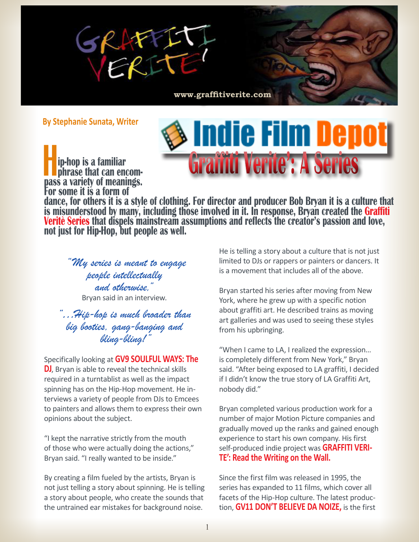

**By Stephanie Sunata, Writer**

**Hip-hop is a familiar phrase that can encom pass a variety of meanings. For some it is a form of** 



**dance, for others it is a style of clothing. For director and producer Bob Bryan it is a culture that**  is misunderstood by many, including those involved in it. In response, Bryan created the **Graffiti Veritè Series** that dispels mainstream assumptions and reflects the creator's passion and love,<br>not just for Hip-Hop, but people as well.

 *"My series is meant to engage people intellectually and otherwise,"*  Bryan said in an interview.

*"…Hip-hop is much broader than big booties, gang-banging and bling-bling!"* 

Specifically looking at **GV9 SOULFUL WAYS: The DJ**, Bryan is able to reveal the technical skills required in a turntablist as well as the impact spinning has on the Hip-Hop movement. He interviews a variety of people from DJs to Emcees to painters and allows them to express their own opinions about the subject.

"I kept the narrative strictly from the mouth of those who were actually doing the actions," Bryan said. "I really wanted to be inside."

By creating a film fueled by the artists, Bryan is not just telling a story about spinning. He is telling a story about people, who create the sounds that the untrained ear mistakes for background noise.

He is telling a story about a culture that is not just limited to DJs or rappers or painters or dancers. It is a movement that includes all of the above.

Bryan started his series after moving from New York, where he grew up with a specific notion about graffiti art. He described trains as moving art galleries and was used to seeing these styles from his upbringing.

"When I came to LA, I realized the expression… is completely different from New York," Bryan said. "After being exposed to LA graffiti, I decided if I didn't know the true story of LA Graffiti Art, nobody did."

Bryan completed various production work for a number of major Motion Picture companies and gradually moved up the ranks and gained enough experience to start his own company. His first self-produced indie project was **GRAFFITI VERI- TE': Read the Writing on the Wall.** 

Since the first film was released in 1995, the series has expanded to 11 films, which cover all facets of the Hip-Hop culture. The latest production, **GV11 DON'T BELIEVE DA NOIZE,** is the first